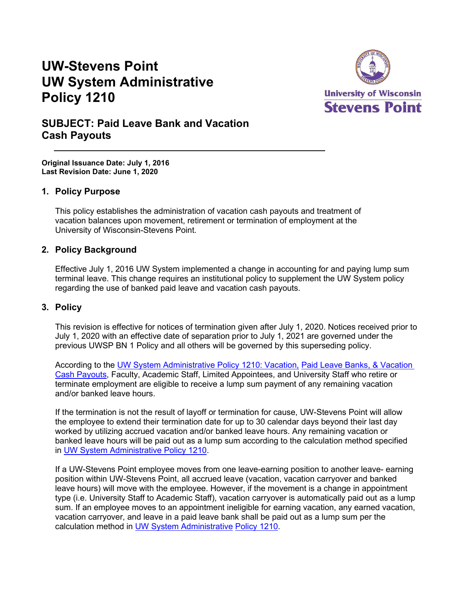# **UW-Stevens Point UW System Administrative Policy 1210**



# **SUBJECT: Paid Leave Bank and Vacation Cash Payouts**

**Original Issuance Date: July 1, 2016 Last Revision Date: June 1, 2020**

#### **1. Policy Purpose**

This policy establishes the administration of vacation cash payouts and treatment of vacation balances upon movement, retirement or termination of employment at the University of Wisconsin-Stevens Point.

#### **2. Policy Background**

Effective July 1, 2016 UW System implemented a change in accounting for and paying lump sum terminal leave. This change requires an institutional policy to supplement the UW System policy regarding the use of banked paid leave and vacation cash payouts.

#### **3. Policy**

This revision is effective for notices of termination given after July 1, 2020. Notices received prior to July 1, 2020 with an effective date of separation prior to July 1, 2021 are governed under the previous UWSP BN 1 Policy and all others will be governed by this superseding policy.

According to the [UW System Administrative Policy 1210: Vacation,](https://www.wisconsin.edu/uw-policies/uw-system-administrative-policies/vacation-paid-leave-banks-and-vacation-cash-payouts/) [Paid Leave Banks, & Vacation](https://www.wisconsin.edu/uw-policies/uw-system-administrative-policies/vacation-paid-leave-banks-and-vacation-cash-payouts/)  [Cash Payouts,](https://www.wisconsin.edu/uw-policies/uw-system-administrative-policies/vacation-paid-leave-banks-and-vacation-cash-payouts/) Faculty, Academic Staff, Limited Appointees, and University Staff who retire or terminate employment are eligible to receive a lump sum payment of any remaining vacation and/or banked leave hours.

If the termination is not the result of layoff or termination for cause, UW-Stevens Point will allow the employee to extend their termination date for up to 30 calendar days beyond their last day worked by utilizing accrued vacation and/or banked leave hours. Any remaining vacation or banked leave hours will be paid out as a lump sum according to the calculation method specified in [UW System Administrative Policy 1210.](https://www.wisconsin.edu/uw-policies/uw-system-administrative-policies/vacation-paid-leave-banks-and-vacation-cash-payouts/)

If a UW-Stevens Point employee moves from one leave-earning position to another leave- earning position within UW-Stevens Point, all accrued leave (vacation, vacation carryover and banked leave hours) will move with the employee. However, if the movement is a change in appointment type (i.e. University Staff to Academic Staff), vacation carryover is automatically paid out as a lump sum. If an employee moves to an appointment ineligible for earning vacation, any earned vacation, vacation carryover, and leave in a paid leave bank shall be paid out as a lump sum per the calculation method in [UW System Administrative](https://www.wisconsin.edu/uw-policies/uw-system-administrative-policies/vacation-paid-leave-banks-and-vacation-cash-payouts/) [Policy 1210.](https://www.wisconsin.edu/uw-policies/uw-system-administrative-policies/vacation-paid-leave-banks-and-vacation-cash-payouts/)